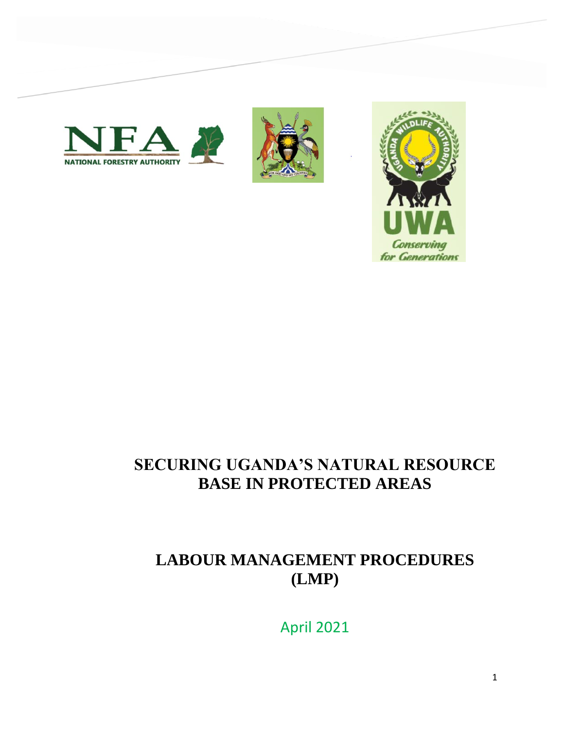





# **SECURING UGANDA'S NATURAL RESOURCE BASE IN PROTECTED AREAS**

# **LABOUR MANAGEMENT PROCEDURES (LMP)**

April 2021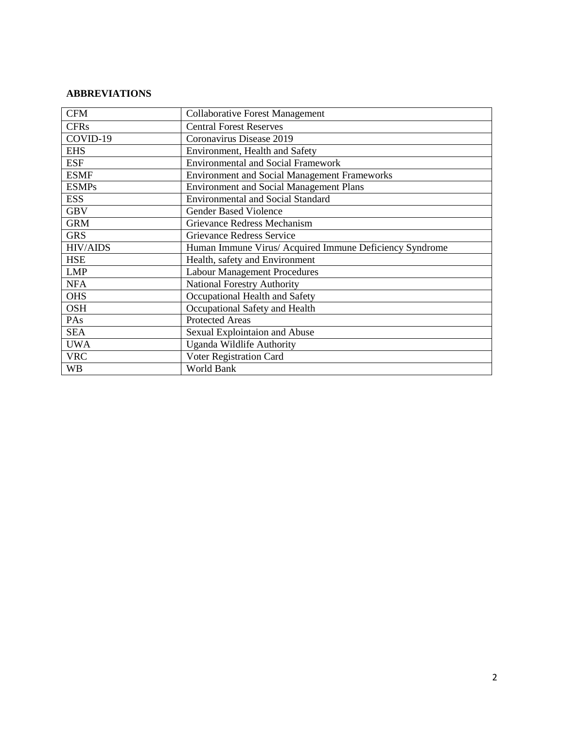## **ABBREVIATIONS**

| <b>CFM</b>      |                                                         |  |
|-----------------|---------------------------------------------------------|--|
|                 | <b>Collaborative Forest Management</b>                  |  |
| <b>CFRs</b>     | <b>Central Forest Reserves</b>                          |  |
| COVID-19        | Coronavirus Disease 2019                                |  |
| <b>EHS</b>      | Environment, Health and Safety                          |  |
| <b>ESF</b>      | <b>Environmental and Social Framework</b>               |  |
| <b>ESMF</b>     | <b>Environment and Social Management Frameworks</b>     |  |
| <b>ESMPs</b>    | <b>Environment and Social Management Plans</b>          |  |
| <b>ESS</b>      | <b>Environmental and Social Standard</b>                |  |
| <b>GBV</b>      | <b>Gender Based Violence</b>                            |  |
| <b>GRM</b>      | Grievance Redress Mechanism                             |  |
| <b>GRS</b>      | Grievance Redress Service                               |  |
| <b>HIV/AIDS</b> | Human Immune Virus/ Acquired Immune Deficiency Syndrome |  |
| <b>HSE</b>      | Health, safety and Environment                          |  |
| <b>LMP</b>      | <b>Labour Management Procedures</b>                     |  |
| <b>NFA</b>      | <b>National Forestry Authority</b>                      |  |
| <b>OHS</b>      | Occupational Health and Safety                          |  |
| <b>OSH</b>      | Occupational Safety and Health                          |  |
| PAs             | <b>Protected Areas</b>                                  |  |
| <b>SEA</b>      | Sexual Explointaion and Abuse                           |  |
| <b>UWA</b>      | Uganda Wildlife Authority                               |  |
| <b>VRC</b>      | Voter Registration Card                                 |  |
| <b>WB</b>       | World Bank                                              |  |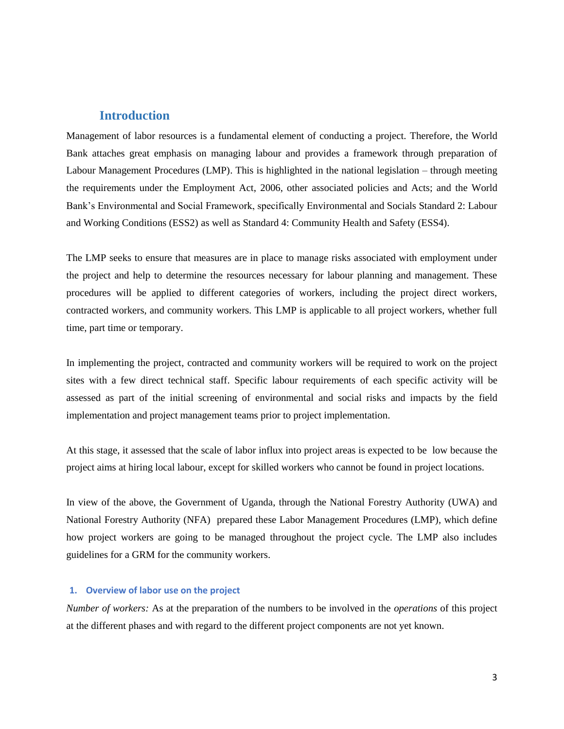## **Introduction**

Management of labor resources is a fundamental element of conducting a project. Therefore, the World Bank attaches great emphasis on managing labour and provides a framework through preparation of Labour Management Procedures (LMP). This is highlighted in the national legislation – through meeting the requirements under the Employment Act, 2006, other associated policies and Acts; and the World Bank's Environmental and Social Framework, specifically Environmental and Socials Standard 2: Labour and Working Conditions (ESS2) as well as Standard 4: Community Health and Safety (ESS4).

The LMP seeks to ensure that measures are in place to manage risks associated with employment under the project and help to determine the resources necessary for labour planning and management. These procedures will be applied to different categories of workers, including the project direct workers, contracted workers, and community workers. This LMP is applicable to all project workers, whether full time, part time or temporary.

In implementing the project, contracted and community workers will be required to work on the project sites with a few direct technical staff. Specific labour requirements of each specific activity will be assessed as part of the initial screening of environmental and social risks and impacts by the field implementation and project management teams prior to project implementation.

At this stage, it assessed that the scale of labor influx into project areas is expected to be low because the project aims at hiring local labour, except for skilled workers who cannot be found in project locations.

In view of the above, the Government of Uganda, through the National Forestry Authority (UWA) and National Forestry Authority (NFA) prepared these Labor Management Procedures (LMP), which define how project workers are going to be managed throughout the project cycle. The LMP also includes guidelines for a GRM for the community workers.

#### **1. Overview of labor use on the project**

*Number of workers:* As at the preparation of the numbers to be involved in the *operations* of this project at the different phases and with regard to the different project components are not yet known.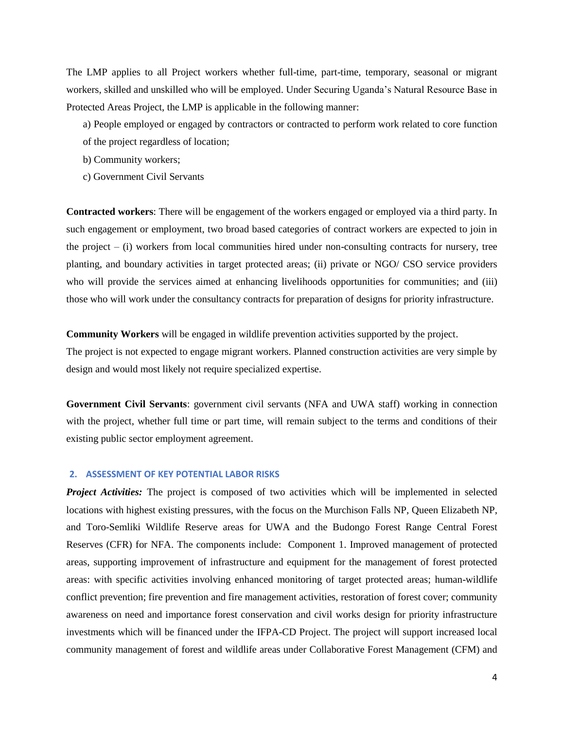The LMP applies to all Project workers whether full-time, part-time, temporary, seasonal or migrant workers, skilled and unskilled who will be employed. Under Securing Uganda's Natural Resource Base in Protected Areas Project, the LMP is applicable in the following manner:

- a) People employed or engaged by contractors or contracted to perform work related to core function
- of the project regardless of location;
- b) Community workers;
- c) Government Civil Servants

**Contracted workers**: There will be engagement of the workers engaged or employed via a third party. In such engagement or employment, two broad based categories of contract workers are expected to join in the project  $-$  (i) workers from local communities hired under non-consulting contracts for nursery, tree planting, and boundary activities in target protected areas; (ii) private or NGO/ CSO service providers who will provide the services aimed at enhancing livelihoods opportunities for communities; and (iii) those who will work under the consultancy contracts for preparation of designs for priority infrastructure.

**Community Workers** will be engaged in wildlife prevention activities supported by the project.

The project is not expected to engage migrant workers. Planned construction activities are very simple by design and would most likely not require specialized expertise.

**Government Civil Servants**: government civil servants (NFA and UWA staff) working in connection with the project, whether full time or part time, will remain subject to the terms and conditions of their existing public sector employment agreement.

#### **2. ASSESSMENT OF KEY POTENTIAL LABOR RISKS**

*Project Activities:* The project is composed of two activities which will be implemented in selected locations with highest existing pressures, with the focus on the Murchison Falls NP, Queen Elizabeth NP, and Toro-Semliki Wildlife Reserve areas for UWA and the Budongo Forest Range Central Forest Reserves (CFR) for NFA. The components include: Component 1. Improved management of protected areas, supporting improvement of infrastructure and equipment for the management of forest protected areas: with specific activities involving enhanced monitoring of target protected areas; human-wildlife conflict prevention; fire prevention and fire management activities, restoration of forest cover; community awareness on need and importance forest conservation and civil works design for priority infrastructure investments which will be financed under the IFPA-CD Project. The project will support increased local community management of forest and wildlife areas under Collaborative Forest Management (CFM) and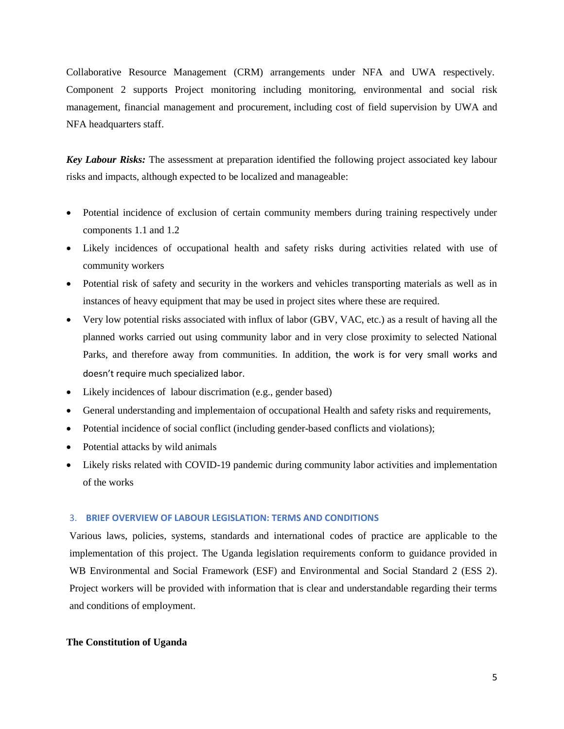Collaborative Resource Management (CRM) arrangements under NFA and UWA respectively. Component 2 supports Project monitoring including monitoring, environmental and social risk management, financial management and procurement, including cost of field supervision by UWA and NFA headquarters staff.

*Key Labour Risks:* The assessment at preparation identified the following project associated key labour risks and impacts, although expected to be localized and manageable:

- Potential incidence of exclusion of certain community members during training respectively under components 1.1 and 1.2
- Likely incidences of occupational health and safety risks during activities related with use of community workers
- Potential risk of safety and security in the workers and vehicles transporting materials as well as in instances of heavy equipment that may be used in project sites where these are required.
- Very low potential risks associated with influx of labor (GBV, VAC, etc.) as a result of having all the planned works carried out using community labor and in very close proximity to selected National Parks, and therefore away from communities. In addition, the work is for very small works and doesn't require much specialized labor.
- Likely incidences of labour discrimation (e.g., gender based)
- General understanding and implementaion of occupational Health and safety risks and requirements,
- Potential incidence of social conflict (including gender-based conflicts and violations);
- Potential attacks by wild animals
- Likely risks related with COVID-19 pandemic during community labor activities and implementation of the works

#### 3. **BRIEF OVERVIEW OF LABOUR LEGISLATION: TERMS AND CONDITIONS**

Various laws, policies, systems, standards and international codes of practice are applicable to the implementation of this project. The Uganda legislation requirements conform to guidance provided in WB Environmental and Social Framework (ESF) and Environmental and Social Standard 2 (ESS 2). Project workers will be provided with information that is clear and understandable regarding their terms and conditions of employment.

#### **The Constitution of Uganda**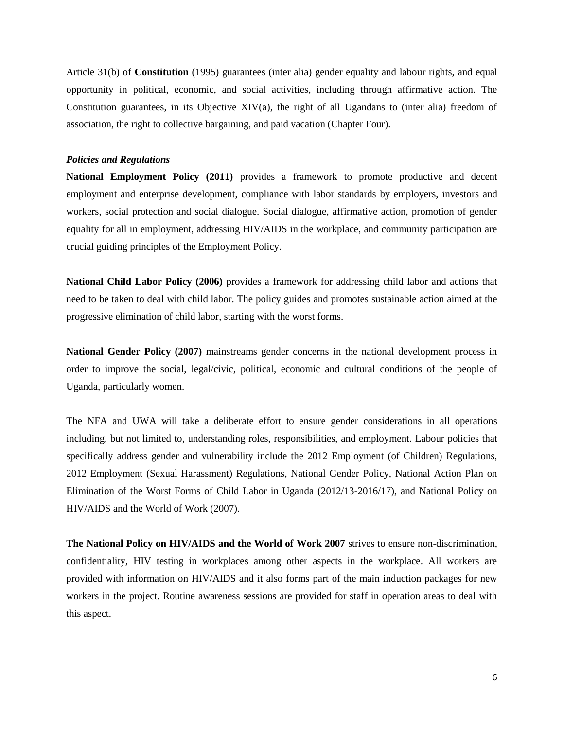Article 31(b) of **Constitution** (1995) guarantees (inter alia) gender equality and labour rights, and equal opportunity in political, economic, and social activities, including through affirmative action. The Constitution guarantees, in its Objective XIV(a), the right of all Ugandans to (inter alia) freedom of association, the right to collective bargaining, and paid vacation (Chapter Four).

#### *Policies and Regulations*

**National Employment Policy (2011)** provides a framework to promote productive and decent employment and enterprise development, compliance with labor standards by employers, investors and workers, social protection and social dialogue. Social dialogue, affirmative action, promotion of gender equality for all in employment, addressing HIV/AIDS in the workplace, and community participation are crucial guiding principles of the Employment Policy.

**National Child Labor Policy (2006)** provides a framework for addressing child labor and actions that need to be taken to deal with child labor. The policy guides and promotes sustainable action aimed at the progressive elimination of child labor, starting with the worst forms.

**National Gender Policy (2007)** mainstreams gender concerns in the national development process in order to improve the social, legal/civic, political, economic and cultural conditions of the people of Uganda, particularly women.

The NFA and UWA will take a deliberate effort to ensure gender considerations in all operations including, but not limited to, understanding roles, responsibilities, and employment. Labour policies that specifically address gender and vulnerability include the 2012 Employment (of Children) Regulations, 2012 Employment (Sexual Harassment) Regulations, National Gender Policy, National Action Plan on Elimination of the Worst Forms of Child Labor in Uganda (2012/13-2016/17), and National Policy on HIV/AIDS and the World of Work (2007).

**The National Policy on HIV/AIDS and the World of Work 2007** strives to ensure non-discrimination, confidentiality, HIV testing in workplaces among other aspects in the workplace. All workers are provided with information on HIV/AIDS and it also forms part of the main induction packages for new workers in the project. Routine awareness sessions are provided for staff in operation areas to deal with this aspect.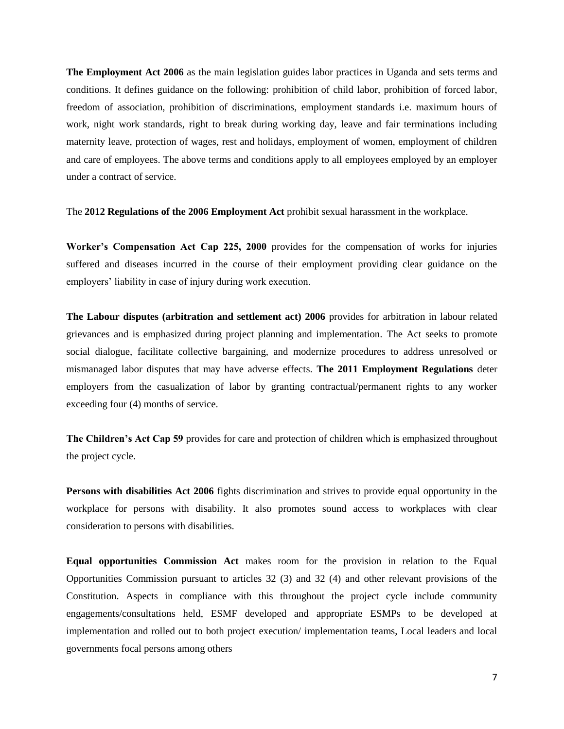**The Employment Act 2006** as the main legislation guides labor practices in Uganda and sets terms and conditions. It defines guidance on the following: prohibition of child labor, prohibition of forced labor, freedom of association, prohibition of discriminations, employment standards i.e. maximum hours of work, night work standards, right to break during working day, leave and fair terminations including maternity leave, protection of wages, rest and holidays, employment of women, employment of children and care of employees. The above terms and conditions apply to all employees employed by an employer under a contract of service.

The **2012 Regulations of the 2006 Employment Act** prohibit sexual harassment in the workplace.

**Worker's Compensation Act Cap 225, 2000** provides for the compensation of works for injuries suffered and diseases incurred in the course of their employment providing clear guidance on the employers' liability in case of injury during work execution.

**The Labour disputes (arbitration and settlement act) 2006** provides for arbitration in labour related grievances and is emphasized during project planning and implementation. The Act seeks to promote social dialogue, facilitate collective bargaining, and modernize procedures to address unresolved or mismanaged labor disputes that may have adverse effects. **The 2011 Employment Regulations** deter employers from the casualization of labor by granting contractual/permanent rights to any worker exceeding four (4) months of service.

**The Children's Act Cap 59** provides for care and protection of children which is emphasized throughout the project cycle.

**Persons with disabilities Act 2006** fights discrimination and strives to provide equal opportunity in the workplace for persons with disability. It also promotes sound access to workplaces with clear consideration to persons with disabilities.

**Equal opportunities Commission Act** makes room for the provision in relation to the Equal Opportunities Commission pursuant to articles 32 (3) and 32 (4) and other relevant provisions of the Constitution. Aspects in compliance with this throughout the project cycle include community engagements/consultations held, ESMF developed and appropriate ESMPs to be developed at implementation and rolled out to both project execution/ implementation teams, Local leaders and local governments focal persons among others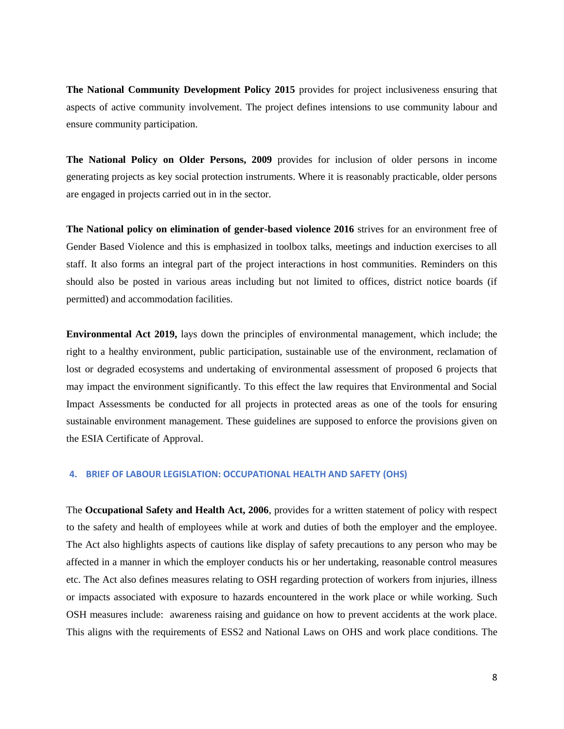**The National Community Development Policy 2015** provides for project inclusiveness ensuring that aspects of active community involvement. The project defines intensions to use community labour and ensure community participation.

**The National Policy on Older Persons, 2009** provides for inclusion of older persons in income generating projects as key social protection instruments. Where it is reasonably practicable, older persons are engaged in projects carried out in in the sector.

**The National policy on elimination of gender-based violence 2016** strives for an environment free of Gender Based Violence and this is emphasized in toolbox talks, meetings and induction exercises to all staff. It also forms an integral part of the project interactions in host communities. Reminders on this should also be posted in various areas including but not limited to offices, district notice boards (if permitted) and accommodation facilities.

**Environmental Act 2019,** lays down the principles of environmental management, which include; the right to a healthy environment, public participation, sustainable use of the environment, reclamation of lost or degraded ecosystems and undertaking of environmental assessment of proposed 6 projects that may impact the environment significantly. To this effect the law requires that Environmental and Social Impact Assessments be conducted for all projects in protected areas as one of the tools for ensuring sustainable environment management. These guidelines are supposed to enforce the provisions given on the ESIA Certificate of Approval.

#### **4. BRIEF OF LABOUR LEGISLATION: OCCUPATIONAL HEALTH AND SAFETY (OHS)**

The **Occupational Safety and Health Act, 2006**, provides for a written statement of policy with respect to the safety and health of employees while at work and duties of both the employer and the employee. The Act also highlights aspects of cautions like display of safety precautions to any person who may be affected in a manner in which the employer conducts his or her undertaking, reasonable control measures etc. The Act also defines measures relating to OSH regarding protection of workers from injuries, illness or impacts associated with exposure to hazards encountered in the work place or while working. Such OSH measures include: awareness raising and guidance on how to prevent accidents at the work place. This aligns with the requirements of ESS2 and National Laws on OHS and work place conditions. The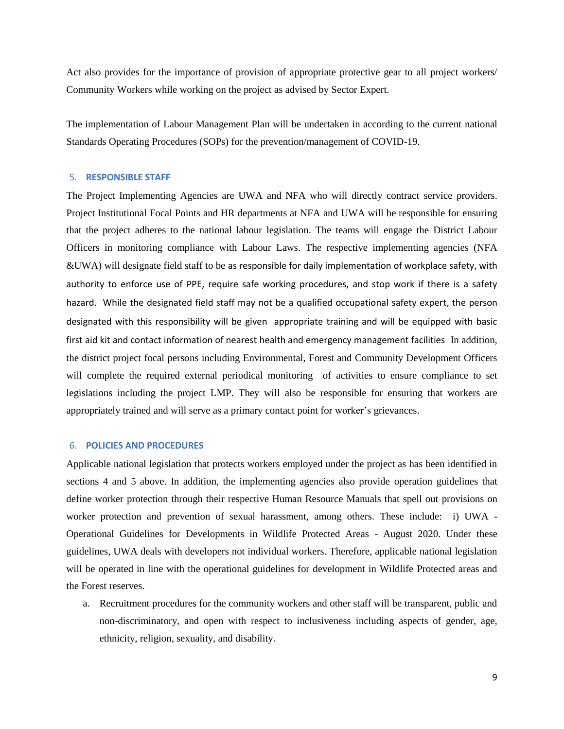Act also provides for the importance of provision of appropriate protective gear to all project workers/ Community Workers while working on the project as advised by Sector Expert.

The implementation of Labour Management Plan will be undertaken in according to the current national Standards Operating Procedures (SOPs) for the prevention/management of COVID-19.

#### 5. **RESPONSIBLE STAFF**

The Project Implementing Agencies are UWA and NFA who will directly contract service providers. Project Institutional Focal Points and HR departments at NFA and UWA will be responsible for ensuring that the project adheres to the national labour legislation. The teams will engage the District Labour Officers in monitoring compliance with Labour Laws. The respective implementing agencies (NFA &UWA) will designate field staff to be as responsible for daily implementation of workplace safety, with authority to enforce use of PPE, require safe working procedures, and stop work if there is a safety hazard. While the designated field staff may not be a qualified occupational safety expert, the person designated with this responsibility will be given appropriate training and will be equipped with basic first aid kit and contact information of nearest health and emergency management facilities In addition, the district project focal persons including Environmental, Forest and Community Development Officers will complete the required external periodical monitoring of activities to ensure compliance to set legislations including the project LMP. They will also be responsible for ensuring that workers are appropriately trained and will serve as a primary contact point for worker's grievances.

### 6. **POLICIES AND PROCEDURES**

Applicable national legislation that protects workers employed under the project as has been identified in sections 4 and 5 above. In addition, the implementing agencies also provide operation guidelines that define worker protection through their respective Human Resource Manuals that spell out provisions on worker protection and prevention of sexual harassment, among others. These include: i) UWA - Operational Guidelines for Developments in Wildlife Protected Areas - August 2020. Under these guidelines, UWA deals with developers not individual workers. Therefore, applicable national legislation will be operated in line with the operational guidelines for development in Wildlife Protected areas and the Forest reserves.

a. Recruitment procedures for the community workers and other staff will be transparent, public and non-discriminatory, and open with respect to inclusiveness including aspects of gender, age, ethnicity, religion, sexuality, and disability.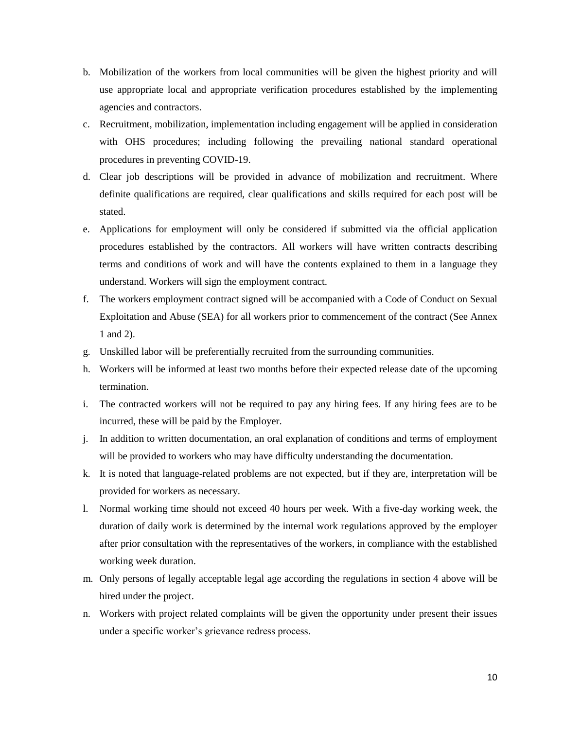- b. Mobilization of the workers from local communities will be given the highest priority and will use appropriate local and appropriate verification procedures established by the implementing agencies and contractors.
- c. Recruitment, mobilization, implementation including engagement will be applied in consideration with OHS procedures; including following the prevailing national standard operational procedures in preventing COVID-19.
- d. Clear job descriptions will be provided in advance of mobilization and recruitment. Where definite qualifications are required, clear qualifications and skills required for each post will be stated.
- e. Applications for employment will only be considered if submitted via the official application procedures established by the contractors. All workers will have written contracts describing terms and conditions of work and will have the contents explained to them in a language they understand. Workers will sign the employment contract.
- f. The workers employment contract signed will be accompanied with a Code of Conduct on Sexual Exploitation and Abuse (SEA) for all workers prior to commencement of the contract (See Annex 1 and 2).
- g. Unskilled labor will be preferentially recruited from the surrounding communities.
- h. Workers will be informed at least two months before their expected release date of the upcoming termination.
- i. The contracted workers will not be required to pay any hiring fees. If any hiring fees are to be incurred, these will be paid by the Employer.
- j. In addition to written documentation, an oral explanation of conditions and terms of employment will be provided to workers who may have difficulty understanding the documentation.
- k. It is noted that language-related problems are not expected, but if they are, interpretation will be provided for workers as necessary.
- l. Normal working time should not exceed 40 hours per week. With a five-day working week, the duration of daily work is determined by the internal work regulations approved by the employer after prior consultation with the representatives of the workers, in compliance with the established working week duration.
- m. Only persons of legally acceptable legal age according the regulations in section 4 above will be hired under the project.
- n. Workers with project related complaints will be given the opportunity under present their issues under a specific worker's grievance redress process.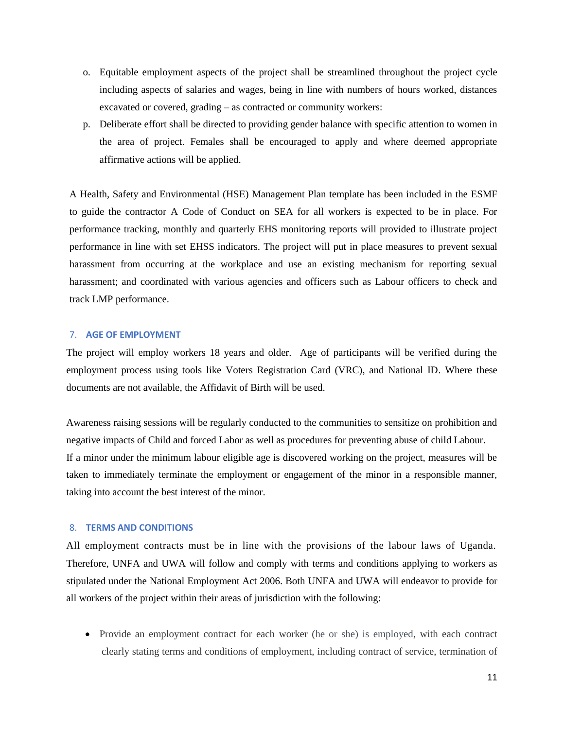- o. Equitable employment aspects of the project shall be streamlined throughout the project cycle including aspects of salaries and wages, being in line with numbers of hours worked, distances excavated or covered, grading – as contracted or community workers:
- p. Deliberate effort shall be directed to providing gender balance with specific attention to women in the area of project. Females shall be encouraged to apply and where deemed appropriate affirmative actions will be applied.

A Health, Safety and Environmental (HSE) Management Plan template has been included in the ESMF to guide the contractor A Code of Conduct on SEA for all workers is expected to be in place. For performance tracking, monthly and quarterly EHS monitoring reports will provided to illustrate project performance in line with set EHSS indicators. The project will put in place measures to prevent sexual harassment from occurring at the workplace and use an existing mechanism for reporting sexual harassment; and coordinated with various agencies and officers such as Labour officers to check and track LMP performance.

#### 7. **AGE OF EMPLOYMENT**

The project will employ workers 18 years and older. Age of participants will be verified during the employment process using tools like Voters Registration Card (VRC), and National ID. Where these documents are not available, the Affidavit of Birth will be used.

Awareness raising sessions will be regularly conducted to the communities to sensitize on prohibition and negative impacts of Child and forced Labor as well as procedures for preventing abuse of child Labour. If a minor under the minimum labour eligible age is discovered working on the project, measures will be taken to immediately terminate the employment or engagement of the minor in a responsible manner, taking into account the best interest of the minor.

#### 8. **TERMS AND CONDITIONS**

All employment contracts must be in line with the provisions of the labour laws of Uganda. Therefore, UNFA and UWA will follow and comply with terms and conditions applying to workers as stipulated under the National Employment Act 2006. Both UNFA and UWA will endeavor to provide for all workers of the project within their areas of jurisdiction with the following:

• Provide an employment contract for each worker (he or she) is employed, with each contract clearly stating terms and conditions of employment, including contract of service, termination of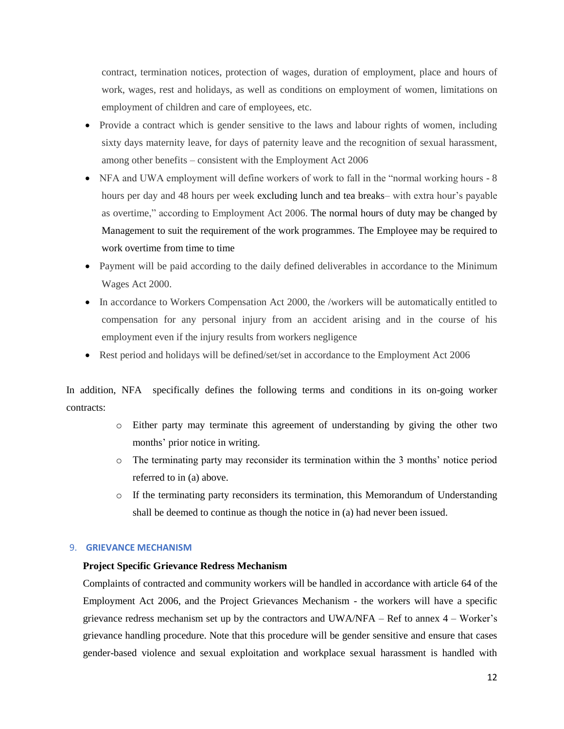contract, termination notices, protection of wages, duration of employment, place and hours of work, wages, rest and holidays, as well as conditions on employment of women, limitations on employment of children and care of employees, etc.

- Provide a contract which is gender sensitive to the laws and labour rights of women, including sixty days maternity leave, for days of paternity leave and the recognition of sexual harassment, among other benefits – consistent with the Employment Act 2006
- NFA and UWA employment will define workers of work to fall in the "normal working hours 8 hours per day and 48 hours per week excluding lunch and tea breaks– with extra hour's payable as overtime," according to Employment Act 2006. The normal hours of duty may be changed by Management to suit the requirement of the work programmes. The Employee may be required to work overtime from time to time
- Payment will be paid according to the daily defined deliverables in accordance to the Minimum Wages Act 2000.
- In accordance to Workers Compensation Act 2000, the /workers will be automatically entitled to compensation for any personal injury from an accident arising and in the course of his employment even if the injury results from workers negligence
- Rest period and holidays will be defined/set/set in accordance to the Employment Act 2006

In addition, NFA specifically defines the following terms and conditions in its on-going worker contracts:

- o Either party may terminate this agreement of understanding by giving the other two months' prior notice in writing.
- o The terminating party may reconsider its termination within the 3 months' notice period referred to in (a) above.
- o If the terminating party reconsiders its termination, this Memorandum of Understanding shall be deemed to continue as though the notice in (a) had never been issued.

## 9. **GRIEVANCE MECHANISM**

## **Project Specific Grievance Redress Mechanism**

Complaints of contracted and community workers will be handled in accordance with article 64 of the Employment Act 2006, and the Project Grievances Mechanism - the workers will have a specific grievance redress mechanism set up by the contractors and UWA/NFA – Ref to annex 4 – Worker's grievance handling procedure. Note that this procedure will be gender sensitive and ensure that cases gender-based violence and sexual exploitation and workplace sexual harassment is handled with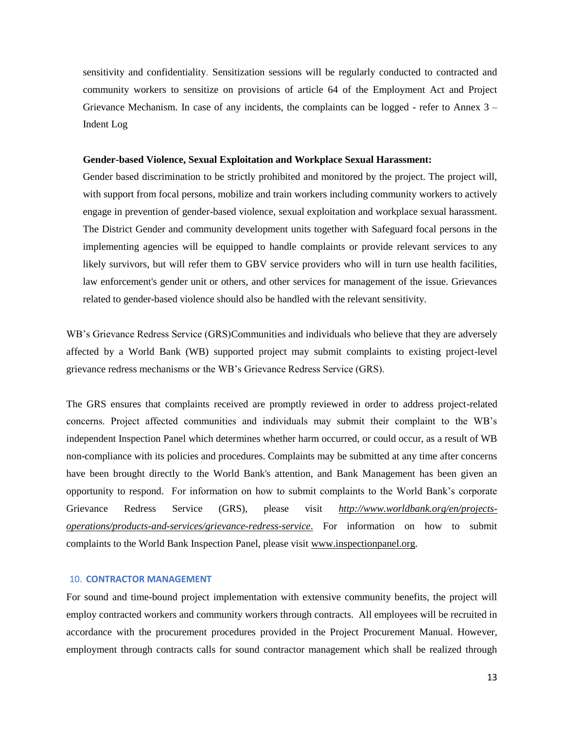sensitivity and confidentiality. Sensitization sessions will be regularly conducted to contracted and community workers to sensitize on provisions of article 64 of the Employment Act and Project Grievance Mechanism. In case of any incidents, the complaints can be logged - refer to Annex  $3 -$ Indent Log

#### **Gender-based Violence, Sexual Exploitation and Workplace Sexual Harassment:**

Gender based discrimination to be strictly prohibited and monitored by the project. The project will, with support from focal persons, mobilize and train workers including community workers to actively engage in prevention of gender-based violence, sexual exploitation and workplace sexual harassment. The District Gender and community development units together with Safeguard focal persons in the implementing agencies will be equipped to handle complaints or provide relevant services to any likely survivors, but will refer them to GBV service providers who will in turn use health facilities, law enforcement's gender unit or others, and other services for management of the issue. Grievances related to gender-based violence should also be handled with the relevant sensitivity.

WB's Grievance Redress Service (GRS)Communities and individuals who believe that they are adversely affected by a World Bank (WB) supported project may submit complaints to existing project-level grievance redress mechanisms or the WB's Grievance Redress Service (GRS).

The GRS ensures that complaints received are promptly reviewed in order to address project-related concerns. Project affected communities and individuals may submit their complaint to the WB's independent Inspection Panel which determines whether harm occurred, or could occur, as a result of WB non-compliance with its policies and procedures. Complaints may be submitted at any time after concerns have been brought directly to the World Bank's attention, and Bank Management has been given an opportunity to respond. For information on how to submit complaints to the World Bank's corporate Grievance Redress Service (GRS), please visit *[http://www.worldbank.org/en/projects](about:blank)[operations/products-and-services/grievance-redress-service](about:blank)*. For information on how to submit complaints to the World Bank Inspection Panel, please visit [www.inspectionpanel.org.](about:blank)

#### 10. **CONTRACTOR MANAGEMENT**

For sound and time-bound project implementation with extensive community benefits, the project will employ contracted workers and community workers through contracts. All employees will be recruited in accordance with the procurement procedures provided in the Project Procurement Manual. However, employment through contracts calls for sound contractor management which shall be realized through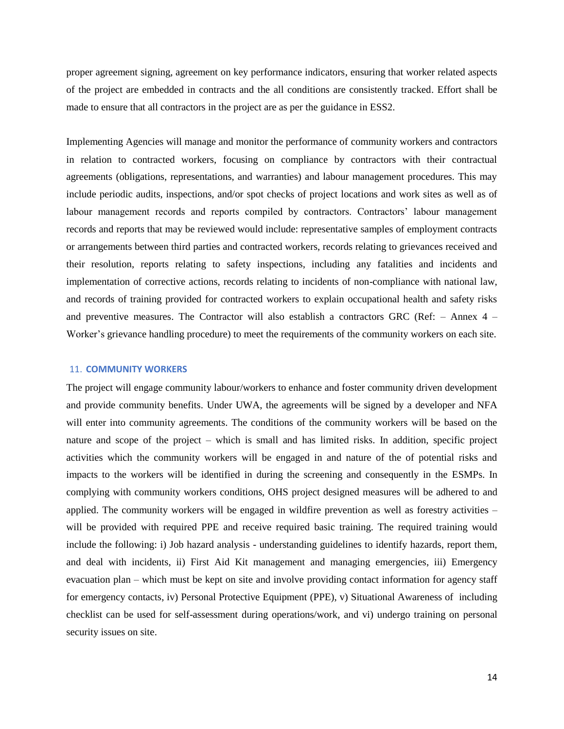proper agreement signing, agreement on key performance indicators, ensuring that worker related aspects of the project are embedded in contracts and the all conditions are consistently tracked. Effort shall be made to ensure that all contractors in the project are as per the guidance in ESS2.

Implementing Agencies will manage and monitor the performance of community workers and contractors in relation to contracted workers, focusing on compliance by contractors with their contractual agreements (obligations, representations, and warranties) and labour management procedures. This may include periodic audits, inspections, and/or spot checks of project locations and work sites as well as of labour management records and reports compiled by contractors. Contractors' labour management records and reports that may be reviewed would include: representative samples of employment contracts or arrangements between third parties and contracted workers, records relating to grievances received and their resolution, reports relating to safety inspections, including any fatalities and incidents and implementation of corrective actions, records relating to incidents of non-compliance with national law, and records of training provided for contracted workers to explain occupational health and safety risks and preventive measures. The Contractor will also establish a contractors GRC (Ref: – Annex 4 – Worker's grievance handling procedure) to meet the requirements of the community workers on each site.

#### 11. **COMMUNITY WORKERS**

The project will engage community labour/workers to enhance and foster community driven development and provide community benefits. Under UWA, the agreements will be signed by a developer and NFA will enter into community agreements. The conditions of the community workers will be based on the nature and scope of the project – which is small and has limited risks. In addition, specific project activities which the community workers will be engaged in and nature of the of potential risks and impacts to the workers will be identified in during the screening and consequently in the ESMPs. In complying with community workers conditions, OHS project designed measures will be adhered to and applied. The community workers will be engaged in wildfire prevention as well as forestry activities – will be provided with required PPE and receive required basic training. The required training would include the following: i) Job hazard analysis - understanding guidelines to identify hazards, report them, and deal with incidents, ii) First Aid Kit management and managing emergencies, iii) Emergency evacuation plan – which must be kept on site and involve providing contact information for agency staff for emergency contacts, iv) Personal Protective Equipment (PPE), v) Situational Awareness of including checklist can be used for self-assessment during operations/work, and vi) undergo training on personal security issues on site.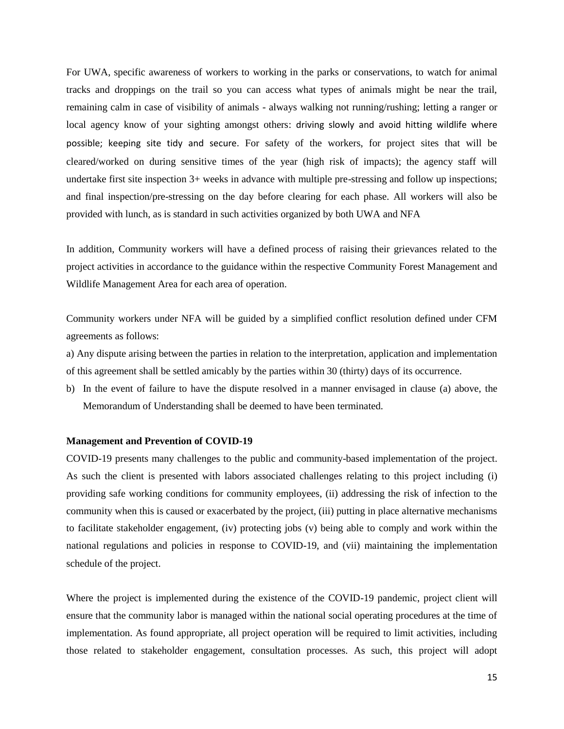For UWA, specific awareness of workers to working in the parks or conservations, to watch for animal tracks and droppings on the trail so you can access what types of animals might be near the trail, remaining calm in case of visibility of animals - always walking not running/rushing; letting a ranger or local agency know of your sighting amongst others: driving slowly and avoid hitting wildlife where possible; keeping site tidy and secure. For safety of the workers, for project sites that will be cleared/worked on during sensitive times of the year (high risk of impacts); the agency staff will undertake first site inspection 3+ weeks in advance with multiple pre-stressing and follow up inspections; and final inspection/pre-stressing on the day before clearing for each phase. All workers will also be provided with lunch, as is standard in such activities organized by both UWA and NFA

In addition, Community workers will have a defined process of raising their grievances related to the project activities in accordance to the guidance within the respective Community Forest Management and Wildlife Management Area for each area of operation.

Community workers under NFA will be guided by a simplified conflict resolution defined under CFM agreements as follows:

a) Any dispute arising between the parties in relation to the interpretation, application and implementation of this agreement shall be settled amicably by the parties within 30 (thirty) days of its occurrence.

b) In the event of failure to have the dispute resolved in a manner envisaged in clause (a) above, the Memorandum of Understanding shall be deemed to have been terminated.

#### **Management and Prevention of COVID-19**

COVID-19 presents many challenges to the public and community-based implementation of the project. As such the client is presented with labors associated challenges relating to this project including (i) providing safe working conditions for community employees, (ii) addressing the risk of infection to the community when this is caused or exacerbated by the project, (iii) putting in place alternative mechanisms to facilitate stakeholder engagement, (iv) protecting jobs (v) being able to comply and work within the national regulations and policies in response to COVID-19, and (vii) maintaining the implementation schedule of the project.

Where the project is implemented during the existence of the COVID-19 pandemic, project client will ensure that the community labor is managed within the national social operating procedures at the time of implementation. As found appropriate, all project operation will be required to limit activities, including those related to stakeholder engagement, consultation processes. As such, this project will adopt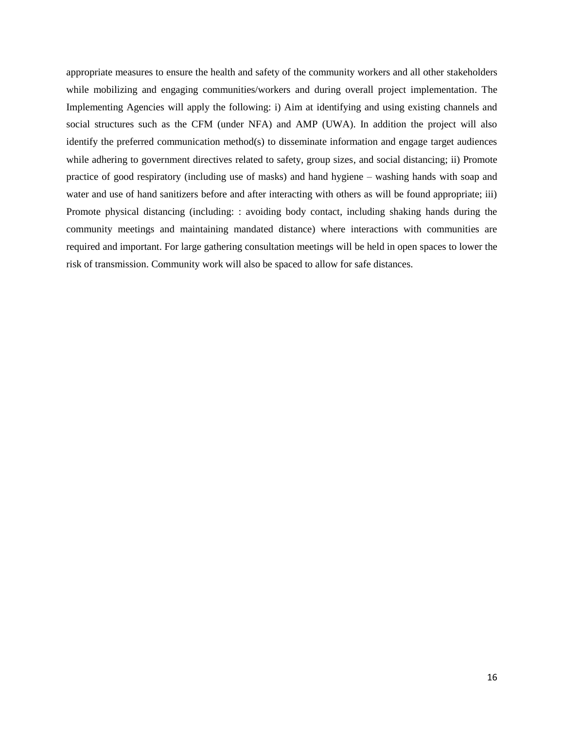appropriate measures to ensure the health and safety of the community workers and all other stakeholders while mobilizing and engaging communities/workers and during overall project implementation. The Implementing Agencies will apply the following: i) Aim at identifying and using existing channels and social structures such as the CFM (under NFA) and AMP (UWA). In addition the project will also identify the preferred communication method(s) to disseminate information and engage target audiences while adhering to government directives related to safety, group sizes, and social distancing; ii) Promote practice of good respiratory (including use of masks) and hand hygiene – washing hands with soap and water and use of hand sanitizers before and after interacting with others as will be found appropriate; iii) Promote physical distancing (including: : avoiding body contact, including shaking hands during the community meetings and maintaining mandated distance) where interactions with communities are required and important. For large gathering consultation meetings will be held in open spaces to lower the risk of transmission. Community work will also be spaced to allow for safe distances.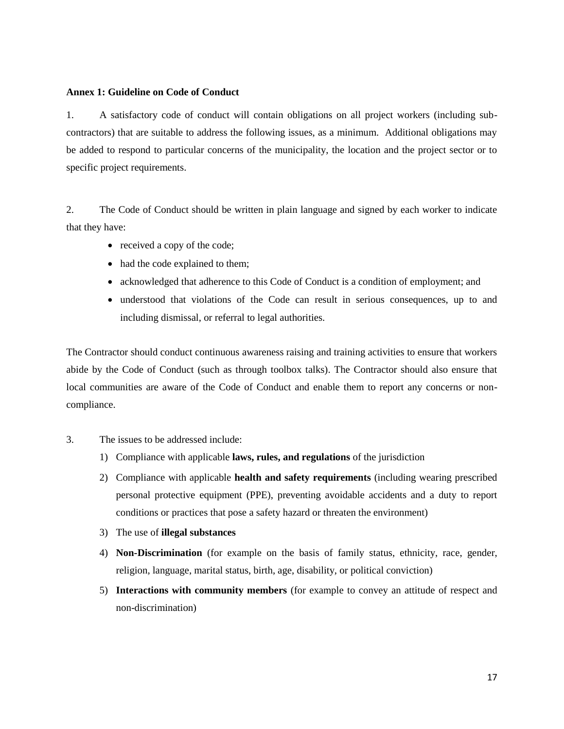#### **Annex 1: Guideline on Code of Conduct**

1. A satisfactory code of conduct will contain obligations on all project workers (including subcontractors) that are suitable to address the following issues, as a minimum. Additional obligations may be added to respond to particular concerns of the municipality, the location and the project sector or to specific project requirements.

2. The Code of Conduct should be written in plain language and signed by each worker to indicate that they have:

- received a copy of the code;
- had the code explained to them;
- acknowledged that adherence to this Code of Conduct is a condition of employment; and
- understood that violations of the Code can result in serious consequences, up to and including dismissal, or referral to legal authorities.

The Contractor should conduct continuous awareness raising and training activities to ensure that workers abide by the Code of Conduct (such as through toolbox talks). The Contractor should also ensure that local communities are aware of the Code of Conduct and enable them to report any concerns or noncompliance.

- 3. The issues to be addressed include:
	- 1) Compliance with applicable **laws, rules, and regulations** of the jurisdiction
	- 2) Compliance with applicable **health and safety requirements** (including wearing prescribed personal protective equipment (PPE), preventing avoidable accidents and a duty to report conditions or practices that pose a safety hazard or threaten the environment)
	- 3) The use of **illegal substances**
	- 4) **Non-Discrimination** (for example on the basis of family status, ethnicity, race, gender, religion, language, marital status, birth, age, disability, or political conviction)
	- 5) **Interactions with community members** (for example to convey an attitude of respect and non-discrimination)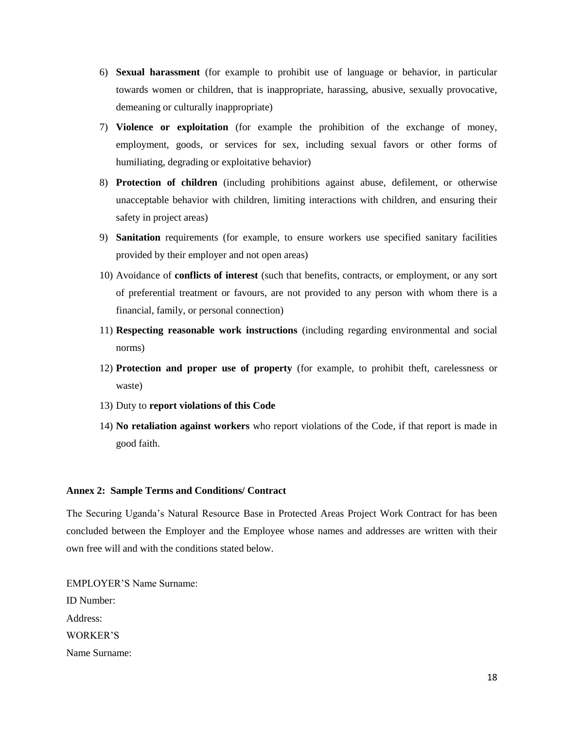- 6) **Sexual harassment** (for example to prohibit use of language or behavior, in particular towards women or children, that is inappropriate, harassing, abusive, sexually provocative, demeaning or culturally inappropriate)
- 7) **Violence or exploitation** (for example the prohibition of the exchange of money, employment, goods, or services for sex, including sexual favors or other forms of humiliating, degrading or exploitative behavior)
- 8) **Protection of children** (including prohibitions against abuse, defilement, or otherwise unacceptable behavior with children, limiting interactions with children, and ensuring their safety in project areas)
- 9) **Sanitation** requirements (for example, to ensure workers use specified sanitary facilities provided by their employer and not open areas)
- 10) Avoidance of **conflicts of interest** (such that benefits, contracts, or employment, or any sort of preferential treatment or favours, are not provided to any person with whom there is a financial, family, or personal connection)
- 11) **Respecting reasonable work instructions** (including regarding environmental and social norms)
- 12) **Protection and proper use of property** (for example, to prohibit theft, carelessness or waste)
- 13) Duty to **report violations of this Code**
- 14) **No retaliation against workers** who report violations of the Code, if that report is made in good faith.

#### **Annex 2: Sample Terms and Conditions/ Contract**

The Securing Uganda's Natural Resource Base in Protected Areas Project Work Contract for has been concluded between the Employer and the Employee whose names and addresses are written with their own free will and with the conditions stated below.

EMPLOYER'S Name Surname: ID Number: Address: WORKER'S Name Surname: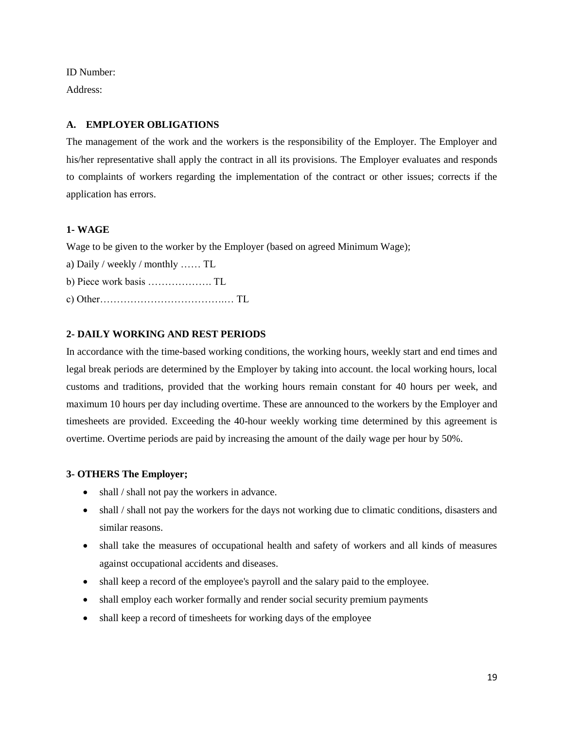ID Number:

Address:

## **A. EMPLOYER OBLIGATIONS**

The management of the work and the workers is the responsibility of the Employer. The Employer and his/her representative shall apply the contract in all its provisions. The Employer evaluates and responds to complaints of workers regarding the implementation of the contract or other issues; corrects if the application has errors.

## **1- WAGE**

Wage to be given to the worker by the Employer (based on agreed Minimum Wage);

- a) Daily / weekly / monthly …… TL
- b) Piece work basis ………………. TL
- c) Other……………………………….… TL

## **2- DAILY WORKING AND REST PERIODS**

In accordance with the time-based working conditions, the working hours, weekly start and end times and legal break periods are determined by the Employer by taking into account. the local working hours, local customs and traditions, provided that the working hours remain constant for 40 hours per week, and maximum 10 hours per day including overtime. These are announced to the workers by the Employer and timesheets are provided. Exceeding the 40-hour weekly working time determined by this agreement is overtime. Overtime periods are paid by increasing the amount of the daily wage per hour by 50%.

## **3- OTHERS The Employer;**

- shall / shall not pay the workers in advance.
- shall / shall not pay the workers for the days not working due to climatic conditions, disasters and similar reasons.
- shall take the measures of occupational health and safety of workers and all kinds of measures against occupational accidents and diseases.
- shall keep a record of the employee's payroll and the salary paid to the employee.
- shall employ each worker formally and render social security premium payments
- shall keep a record of timesheets for working days of the employee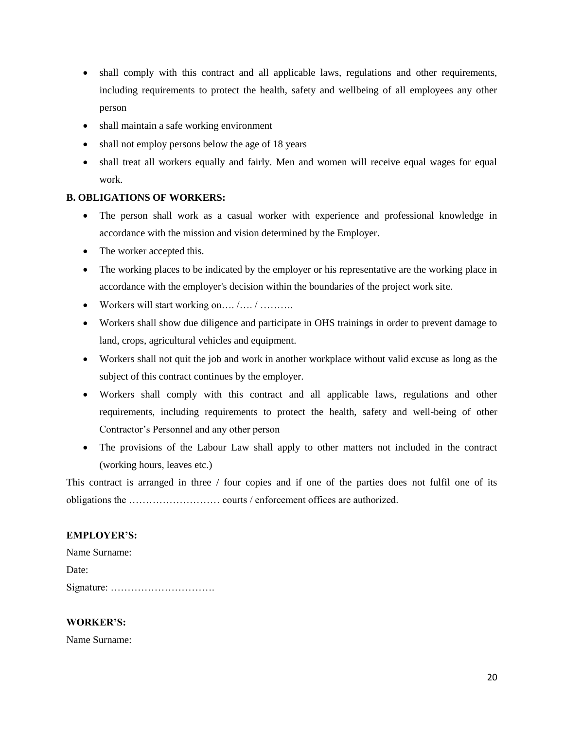- shall comply with this contract and all applicable laws, regulations and other requirements, including requirements to protect the health, safety and wellbeing of all employees any other person
- shall maintain a safe working environment
- shall not employ persons below the age of 18 years
- shall treat all workers equally and fairly. Men and women will receive equal wages for equal work.

## **B. OBLIGATIONS OF WORKERS:**

- The person shall work as a casual worker with experience and professional knowledge in accordance with the mission and vision determined by the Employer.
- The worker accepted this.
- The working places to be indicated by the employer or his representative are the working place in accordance with the employer's decision within the boundaries of the project work site.
- Workers will start working on....  $/$ .............
- Workers shall show due diligence and participate in OHS trainings in order to prevent damage to land, crops, agricultural vehicles and equipment.
- Workers shall not quit the job and work in another workplace without valid excuse as long as the subject of this contract continues by the employer.
- Workers shall comply with this contract and all applicable laws, regulations and other requirements, including requirements to protect the health, safety and well-being of other Contractor's Personnel and any other person
- The provisions of the Labour Law shall apply to other matters not included in the contract (working hours, leaves etc.)

This contract is arranged in three / four copies and if one of the parties does not fulfil one of its obligations the ……………………… courts / enforcement offices are authorized.

## **EMPLOYER'S:**

Name Surname: Date: Signature: ………………………….

## **WORKER'S:**

Name Surname: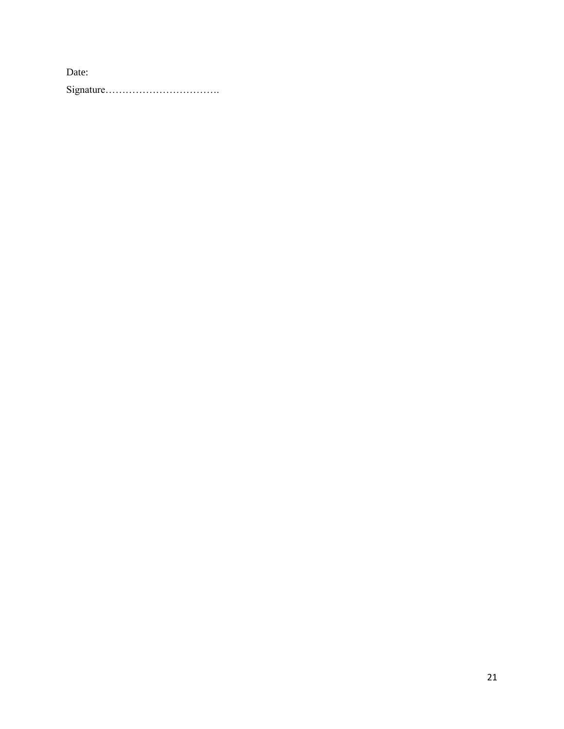Date: Signature…………………………….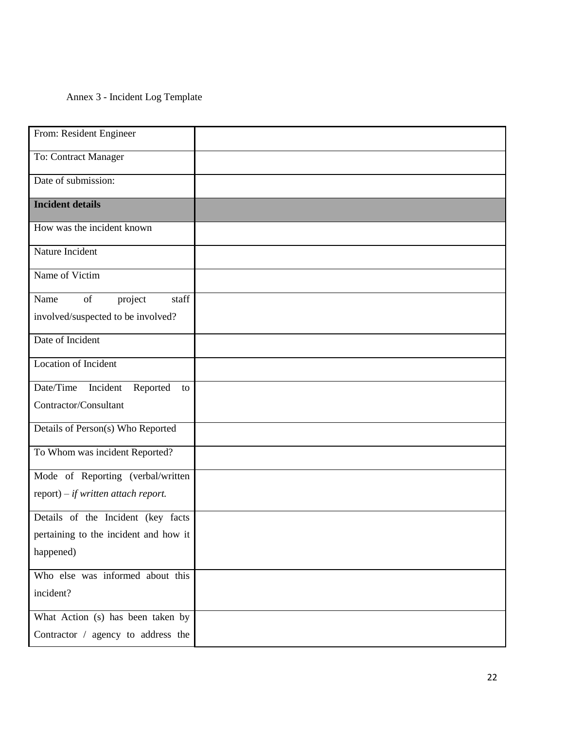## Annex 3 - Incident Log Template

| From: Resident Engineer                 |  |
|-----------------------------------------|--|
| To: Contract Manager                    |  |
| Date of submission:                     |  |
| <b>Incident details</b>                 |  |
| How was the incident known              |  |
| Nature Incident                         |  |
| Name of Victim                          |  |
| staff<br>of<br>project<br>Name          |  |
| involved/suspected to be involved?      |  |
| Date of Incident                        |  |
| Location of Incident                    |  |
| Date/Time<br>Incident<br>Reported<br>to |  |
| Contractor/Consultant                   |  |
| Details of Person(s) Who Reported       |  |
| To Whom was incident Reported?          |  |
| Mode of Reporting (verbal/written       |  |
| $report) - if written attach report.$   |  |
| Details of the Incident (key facts      |  |
| pertaining to the incident and how it   |  |
| happened)                               |  |
| Who else was informed about this        |  |
| incident?                               |  |
| What Action (s) has been taken by       |  |
| Contractor / agency to address the      |  |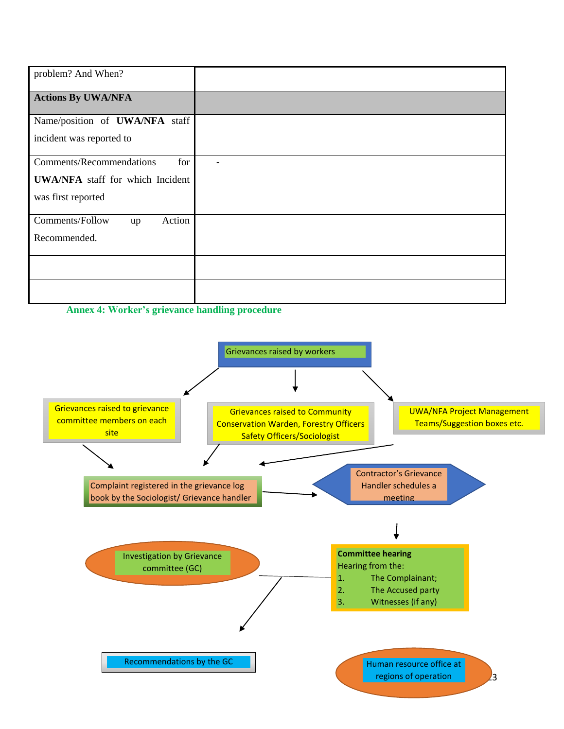| problem? And When?                      |  |
|-----------------------------------------|--|
| <b>Actions By UWA/NFA</b>               |  |
| Name/position of <b>UWA/NFA</b> staff   |  |
| incident was reported to                |  |
| Comments/Recommendations<br>for         |  |
| <b>UWA/NFA</b> staff for which Incident |  |
| was first reported                      |  |
| Comments/Follow<br>Action<br>up         |  |
| Recommended.                            |  |
|                                         |  |
|                                         |  |

**Annex 4: Worker's grievance handling procedure**